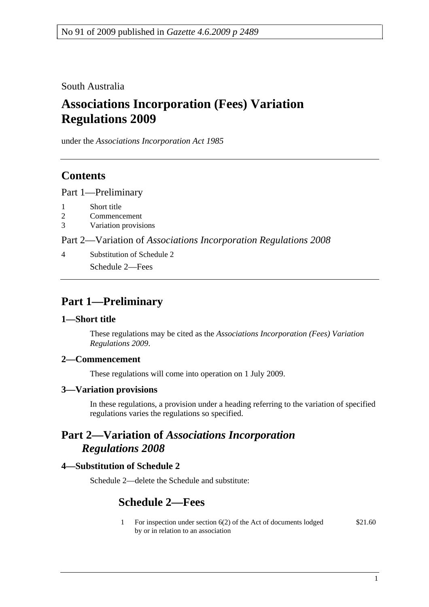South Australia

# **Associations Incorporation (Fees) Variation Regulations 2009**

under the *Associations Incorporation Act 1985*

### **Contents**

Part 1—Preliminary

- 1 Short title
- 2 Commencement
- 3 Variation provisions

Part 2—Variation of *Associations Incorporation Regulations 2008*

4 Substitution of Schedule 2 Schedule 2—Fees

## **Part 1—Preliminary**

#### **1—Short title**

These regulations may be cited as the *Associations Incorporation (Fees) Variation Regulations 2009*.

### **2—Commencement**

These regulations will come into operation on 1 July 2009.

#### **3—Variation provisions**

In these regulations, a provision under a heading referring to the variation of specified regulations varies the regulations so specified.

### **Part 2—Variation of** *Associations Incorporation Regulations 2008*

### **4—Substitution of Schedule 2**

Schedule 2—delete the Schedule and substitute:

### **Schedule 2—Fees**

1 For inspection under section 6(2) of the Act of documents lodged by or in relation to an association \$21.60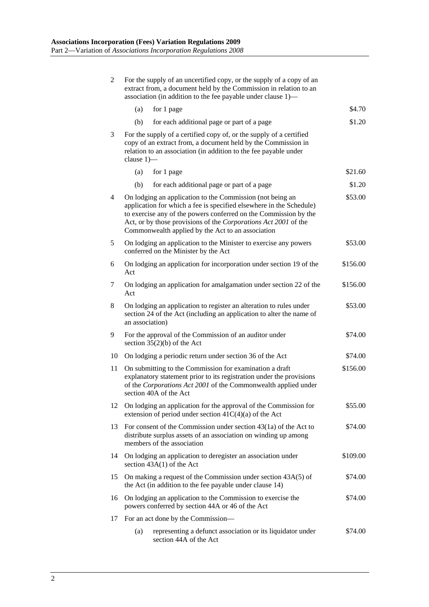| 2  | For the supply of an uncertified copy, or the supply of a copy of an<br>extract from, a document held by the Commission in relation to an<br>association (in addition to the fee payable under clause 1)—                                                                                                                               |          |  |
|----|-----------------------------------------------------------------------------------------------------------------------------------------------------------------------------------------------------------------------------------------------------------------------------------------------------------------------------------------|----------|--|
|    | (a)<br>for 1 page                                                                                                                                                                                                                                                                                                                       | \$4.70   |  |
|    | (b)<br>for each additional page or part of a page                                                                                                                                                                                                                                                                                       | \$1.20   |  |
| 3  | For the supply of a certified copy of, or the supply of a certified<br>copy of an extract from, a document held by the Commission in<br>relation to an association (in addition to the fee payable under<br>clause $1$ ) $-$                                                                                                            |          |  |
|    | (a)<br>for 1 page                                                                                                                                                                                                                                                                                                                       | \$21.60  |  |
|    | (b)<br>for each additional page or part of a page                                                                                                                                                                                                                                                                                       | \$1.20   |  |
| 4  | \$53.00<br>On lodging an application to the Commission (not being an<br>application for which a fee is specified elsewhere in the Schedule)<br>to exercise any of the powers conferred on the Commission by the<br>Act, or by those provisions of the Corporations Act 2001 of the<br>Commonwealth applied by the Act to an association |          |  |
| 5  | On lodging an application to the Minister to exercise any powers<br>conferred on the Minister by the Act                                                                                                                                                                                                                                | \$53.00  |  |
| 6  | On lodging an application for incorporation under section 19 of the<br>Act                                                                                                                                                                                                                                                              | \$156.00 |  |
| 7  | On lodging an application for amalgamation under section 22 of the<br>Act                                                                                                                                                                                                                                                               | \$156.00 |  |
| 8  | On lodging an application to register an alteration to rules under<br>section 24 of the Act (including an application to alter the name of<br>an association)                                                                                                                                                                           | \$53.00  |  |
| 9  | For the approval of the Commission of an auditor under<br>section $35(2)(b)$ of the Act                                                                                                                                                                                                                                                 | \$74.00  |  |
| 10 | On lodging a periodic return under section 36 of the Act                                                                                                                                                                                                                                                                                | \$74.00  |  |
| 11 | On submitting to the Commission for examination a draft<br>explanatory statement prior to its registration under the provisions<br>of the Corporations Act 2001 of the Commonwealth applied under<br>section 40A of the Act                                                                                                             | \$156.00 |  |
| 12 | On lodging an application for the approval of the Commission for<br>extension of period under section $41C(4)(a)$ of the Act                                                                                                                                                                                                            | \$55.00  |  |
| 13 | For consent of the Commission under section $43(1a)$ of the Act to<br>distribute surplus assets of an association on winding up among<br>members of the association                                                                                                                                                                     | \$74.00  |  |
| 14 | On lodging an application to deregister an association under<br>section $43A(1)$ of the Act                                                                                                                                                                                                                                             | \$109.00 |  |
| 15 | On making a request of the Commission under section 43A(5) of<br>the Act (in addition to the fee payable under clause 14)                                                                                                                                                                                                               | \$74.00  |  |
| 16 | On lodging an application to the Commission to exercise the<br>powers conferred by section 44A or 46 of the Act                                                                                                                                                                                                                         | \$74.00  |  |
| 17 | For an act done by the Commission—                                                                                                                                                                                                                                                                                                      |          |  |
|    | representing a defunct association or its liquidator under<br>(a)<br>section 44A of the Act                                                                                                                                                                                                                                             | \$74.00  |  |